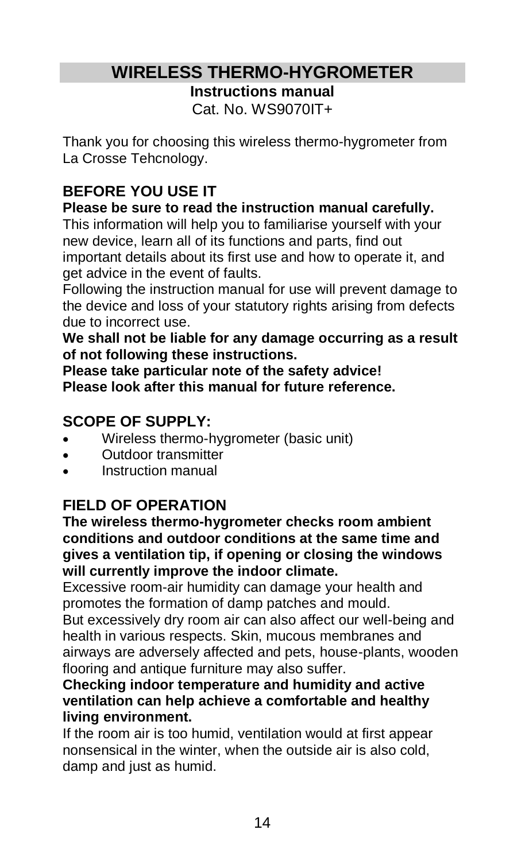# **WIRELESS THERMO-HYGROMETER**

**Instructions manual**

Cat. No. WS9070IT+

Thank you for choosing this wireless thermo-hygrometer from La Crosse Tehcnology.

# **BEFORE YOU USE IT**

#### **Please be sure to read the instruction manual carefully.**

This information will help you to familiarise yourself with your new device, learn all of its functions and parts, find out important details about its first use and how to operate it, and get advice in the event of faults.

Following the instruction manual for use will prevent damage to the device and loss of your statutory rights arising from defects due to incorrect use.

**We shall not be liable for any damage occurring as a result of not following these instructions.**

**Please take particular note of the safety advice! Please look after this manual for future reference.**

# **SCOPE OF SUPPLY:**

- Wireless thermo-hygrometer (basic unit)
- Outdoor transmitter
- Instruction manual

# **FIELD OF OPERATION**

**The wireless thermo-hygrometer checks room ambient conditions and outdoor conditions at the same time and gives a ventilation tip, if opening or closing the windows will currently improve the indoor climate.** 

Excessive room-air humidity can damage your health and promotes the formation of damp patches and mould.

But excessively dry room air can also affect our well-being and health in various respects. Skin, mucous membranes and airways are adversely affected and pets, house-plants, wooden flooring and antique furniture may also suffer.

#### **Checking indoor temperature and humidity and active ventilation can help achieve a comfortable and healthy living environment.**

If the room air is too humid, ventilation would at first appear nonsensical in the winter, when the outside air is also cold, damp and just as humid.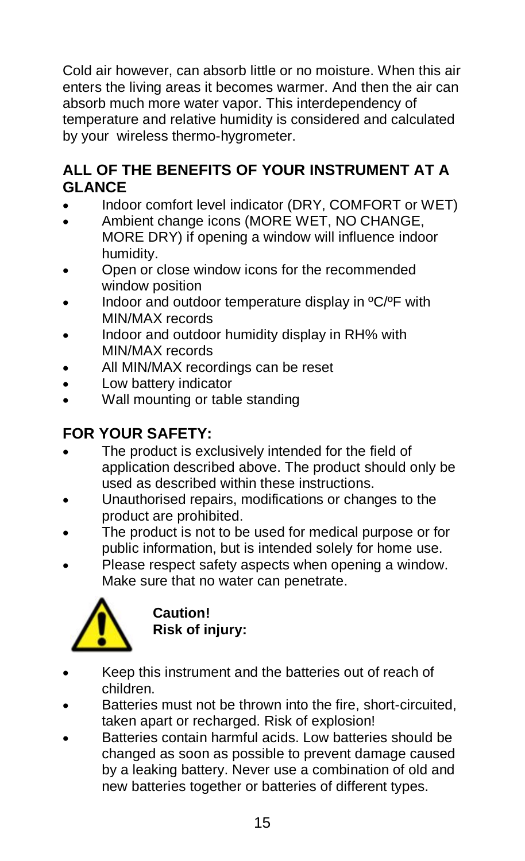Cold air however, can absorb little or no moisture. When this air enters the living areas it becomes warmer. And then the air can absorb much more water vapor. This interdependency of temperature and relative humidity is considered and calculated by your wireless thermo-hygrometer.

## **ALL OF THE BENEFITS OF YOUR INSTRUMENT AT A GLANCE**

- Indoor comfort level indicator (DRY, COMFORT or WET)
- Ambient change icons (MORE WET, NO CHANGE, MORE DRY) if opening a window will influence indoor humidity.
- Open or close window icons for the recommended window position
- Indoor and outdoor temperature display in ºC/ºF with MIN/MAX records
- Indoor and outdoor humidity display in RH% with MIN/MAX records
- All MIN/MAX recordings can be reset
- Low battery indicator
- Wall mounting or table standing

# **FOR YOUR SAFETY:**

- The product is exclusively intended for the field of application described above. The product should only be used as described within these instructions.
- Unauthorised repairs, modifications or changes to the product are prohibited.
- The product is not to be used for medical purpose or for public information, but is intended solely for home use.
- Please respect safety aspects when opening a window. Make sure that no water can penetrate.



**Caution! Risk of injury:**

- Keep this instrument and the batteries out of reach of children.
- Batteries must not be thrown into the fire, short-circuited, taken apart or recharged. Risk of explosion!
- Batteries contain harmful acids. Low batteries should be changed as soon as possible to prevent damage caused by a leaking battery. Never use a combination of old and new batteries together or batteries of different types.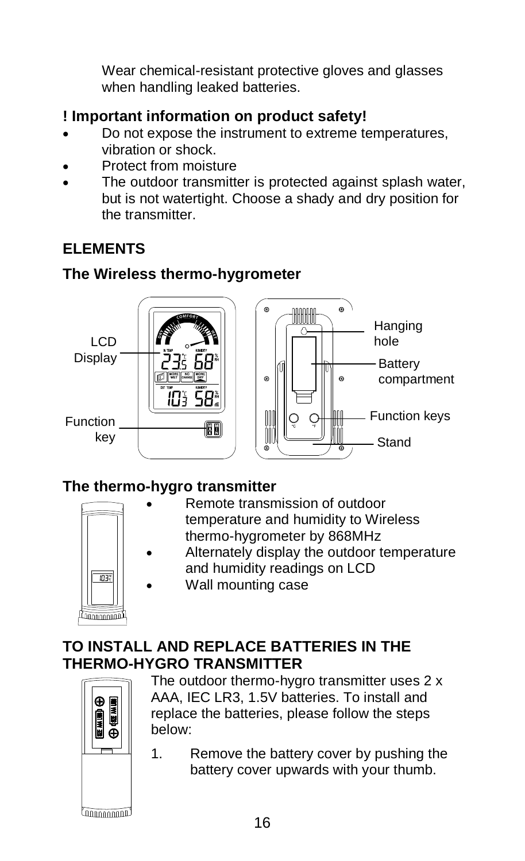Wear chemical-resistant protective gloves and glasses when handling leaked batteries.

# **! Important information on product safety!**

- Do not expose the instrument to extreme temperatures, vibration or shock.
- Protect from moisture
- The outdoor transmitter is protected against splash water, but is not watertight. Choose a shady and dry position for the transmitter.

# **ELEMENTS**

## **The Wireless thermo-hygrometer**



# **The thermo-hygro transmitter**



- Remote transmission of outdoor temperature and humidity to Wireless thermo-hygrometer by 868MHz
- Alternately display the outdoor temperature and humidity readings on LCD
- Wall mounting case

#### **TO INSTALL AND REPLACE BATTERIES IN THE THERMO-HYGRO TRANSMITTER**



The outdoor thermo-hygro transmitter uses 2 x AAA, IEC LR3, 1.5V batteries. To install and replace the batteries, please follow the steps below:

1. Remove the battery cover by pushing the battery cover upwards with your thumb.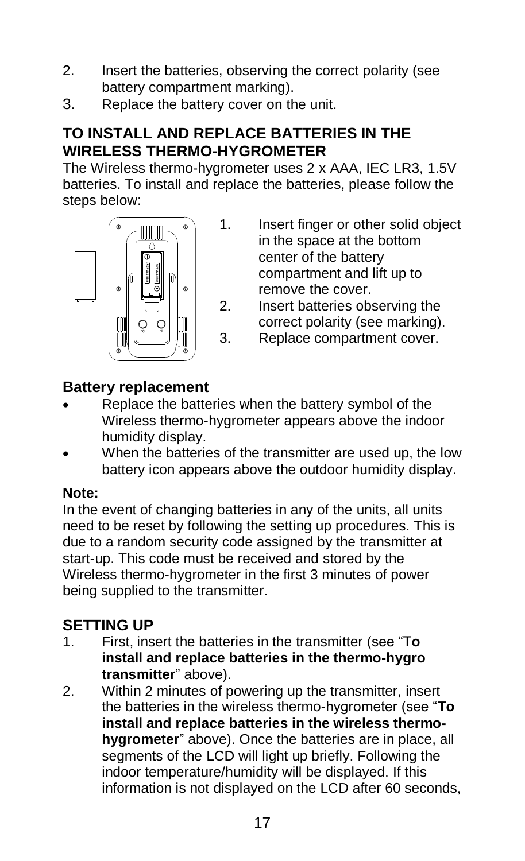- 2. Insert the batteries, observing the correct polarity (see battery compartment marking).
- 3. Replace the battery cover on the unit.

# **TO INSTALL AND REPLACE BATTERIES IN THE WIRELESS THERMO-HYGROMETER**

The Wireless thermo-hygrometer uses 2 x AAA, IEC LR3, 1.5V batteries. To install and replace the batteries, please follow the steps below:



- 1. Insert finger or other solid object in the space at the bottom center of the battery compartment and lift up to remove the cover.
- 2. Insert batteries observing the correct polarity (see marking).
- 3. Replace compartment cover.

# **Battery replacement**

- Replace the batteries when the battery symbol of the Wireless thermo-hygrometer appears above the indoor humidity display.
- When the batteries of the transmitter are used up, the low battery icon appears above the outdoor humidity display.

#### **Note:**

In the event of changing batteries in any of the units, all units need to be reset by following the setting up procedures. This is due to a random security code assigned by the transmitter at start-up. This code must be received and stored by the Wireless thermo-hygrometer in the first 3 minutes of power being supplied to the transmitter.

# **SETTING UP**

- 1. First, insert the batteries in the transmitter (see "T**o install and replace batteries in the thermo-hygro transmitter**" above).
- 2. Within 2 minutes of powering up the transmitter, insert the batteries in the wireless thermo-hygrometer (see "**To install and replace batteries in the wireless thermohygrometer**" above). Once the batteries are in place, all segments of the LCD will light up briefly. Following the indoor temperature/humidity will be displayed. If this information is not displayed on the LCD after 60 seconds,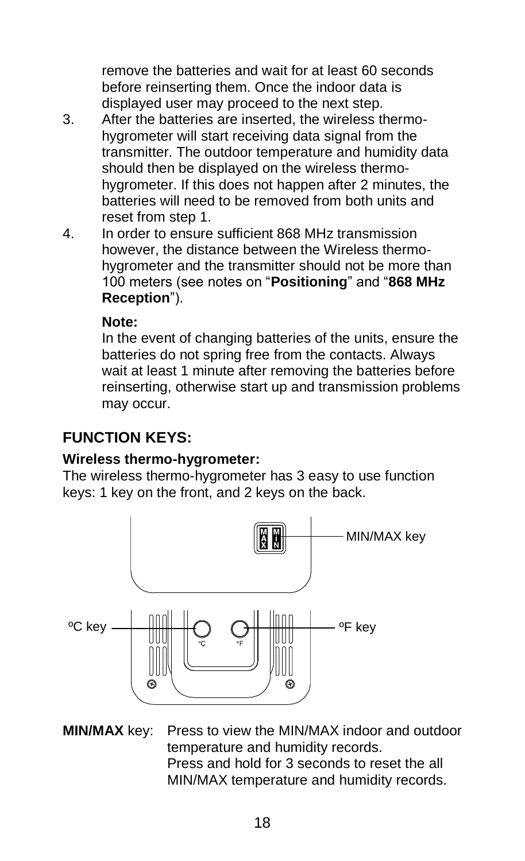remove the batteries and wait for at least 60 seconds before reinserting them. Once the indoor data is displayed user may proceed to the next step.

- 3. After the batteries are inserted, the wireless thermohygrometer will start receiving data signal from the transmitter. The outdoor temperature and humidity data should then be displayed on the wireless thermohygrometer. If this does not happen after 2 minutes, the batteries will need to be removed from both units and reset from step 1.
- 4. In order to ensure sufficient 868 MHz transmission however, the distance between the Wireless thermohygrometer and the transmitter should not be more than 100 meters (see notes on "**Positioning**" and "**868 MHz Reception**").

#### **Note:**

In the event of changing batteries of the units, ensure the batteries do not spring free from the contacts. Always wait at least 1 minute after removing the batteries before reinserting, otherwise start up and transmission problems may occur.

# **FUNCTION KEYS:**

#### **Wireless thermo-hygrometer:**

The wireless thermo-hygrometer has 3 easy to use function keys: 1 key on the front, and 2 keys on the back.



**MIN/MAX** key: Press to view the MIN/MAX indoor and outdoor temperature and humidity records. Press and hold for 3 seconds to reset the all MIN/MAX temperature and humidity records.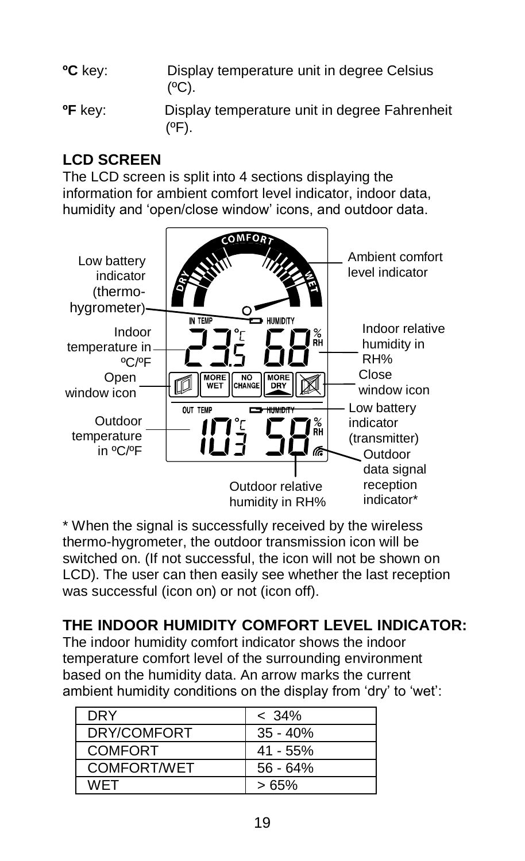**<sup>O</sup>C** key: Display temperature unit in degree Celsius  $(°C)$ .

**ºF** key: Display temperature unit in degree Fahrenheit (ºF).

# **LCD SCREEN**

The LCD screen is split into 4 sections displaying the information for ambient comfort level indicator, indoor data, humidity and 'open/close window' icons, and outdoor data.



\* When the signal is successfully received by the wireless thermo-hygrometer, the outdoor transmission icon will be switched on. (If not successful, the icon will not be shown on LCD). The user can then easily see whether the last reception was successful (icon on) or not (icon off).

# **THE INDOOR HUMIDITY COMFORT LEVEL INDICATOR:**

The indoor humidity comfort indicator shows the indoor temperature comfort level of the surrounding environment based on the humidity data. An arrow marks the current ambient humidity conditions on the display from 'dry' to 'wet':

| <b>DRY</b>     | $< 34\%$   |
|----------------|------------|
| DRY/COMFORT    | $35 - 40%$ |
| <b>COMFORT</b> | $41 - 55%$ |
| COMFORT/WET    | $56 - 64%$ |
| <b>WFT</b>     | >65%       |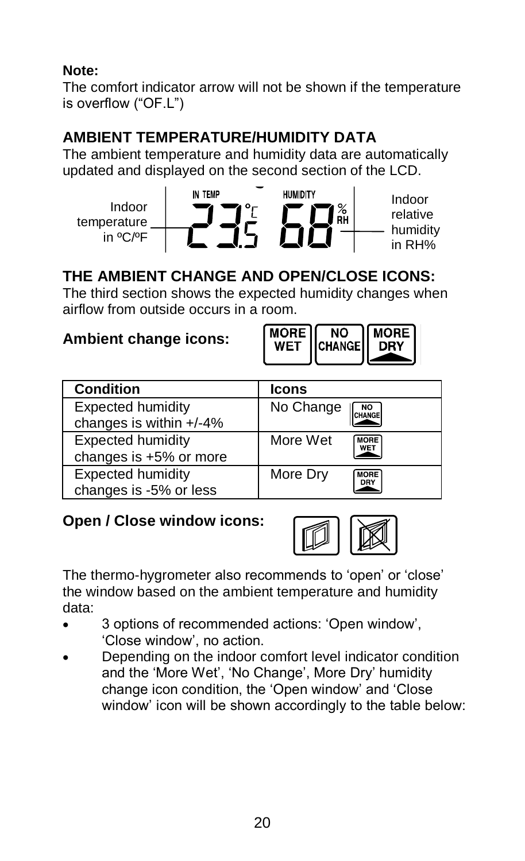### **Note:**

The comfort indicator arrow will not be shown if the temperature is overflow ("OF.L")

# **AMBIENT TEMPERATURE/HUMIDITY DATA**

The ambient temperature and humidity data are automatically updated and displayed on the second section of the LCD.



# **THE AMBIENT CHANGE AND OPEN/CLOSE ICONS:**

The third section shows the expected humidity changes when airflow from outside occurs in a room.

# **Ambient change icons:**



| <b>Condition</b>                                   | Icons                          |
|----------------------------------------------------|--------------------------------|
| Expected humidity<br>changes is within +/-4%       | No Change<br>CHANGE            |
| <b>Expected humidity</b><br>changes is +5% or more | More Wet<br><b>MORE</b><br>WET |
| <b>Expected humidity</b><br>changes is -5% or less | More Dry<br><b>MORE</b><br>DRY |

# **Open / Close window icons:**



The thermo-hygrometer also recommends to 'open' or 'close' the window based on the ambient temperature and humidity data:

- 3 options of recommended actions: 'Open window', 'Close window', no action.
- Depending on the indoor comfort level indicator condition and the 'More Wet', 'No Change', More Dry' humidity change icon condition, the 'Open window' and 'Close window' icon will be shown accordingly to the table below: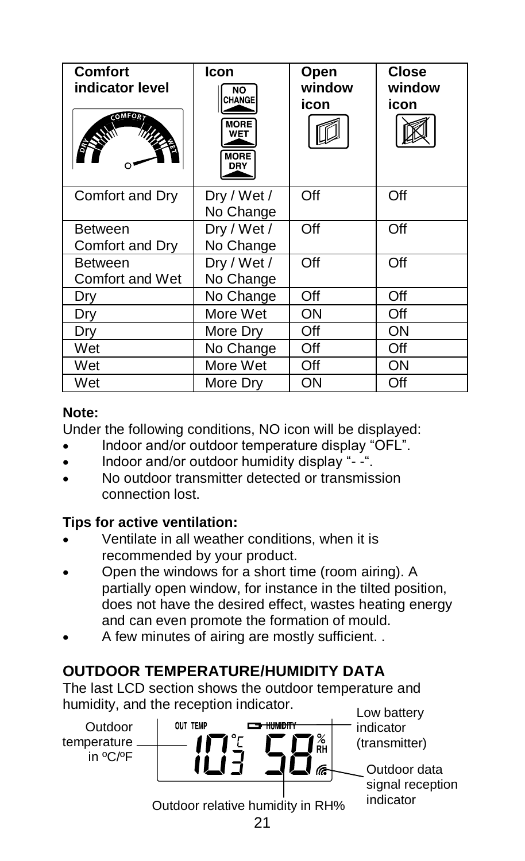| Comfort<br>indicator level<br><b>COMFORD</b> | Icon<br>NO<br><b>CHANGE</b><br><b>MORE</b><br>WET<br><b>MORE</b><br>DRY | Open<br>window<br>icon | Close<br>window<br>icon |
|----------------------------------------------|-------------------------------------------------------------------------|------------------------|-------------------------|
| Comfort and Dry                              | Dry / Wet /<br>No Change                                                | Off                    | Off                     |
| <b>Between</b><br>Comfort and Dry            | Dry / Wet /<br>No Change                                                | Off                    | Off                     |
| <b>Between</b><br>Comfort and Wet            | Dry / Wet /<br>No Change                                                | Off                    | Off                     |
| Dry                                          | No Change                                                               | Off                    | Off                     |
| Dry                                          | More Wet                                                                | ON                     | Off                     |
| Dry                                          | More Drv                                                                | Off                    | ON                      |
| Wet                                          | No Change                                                               | Off                    | Off                     |
| Wet                                          | More Wet                                                                | Off                    | ON                      |
| Wet                                          | More Drv                                                                | ON                     | Off                     |

#### **Note:**

Under the following conditions, NO icon will be displayed:

- Indoor and/or outdoor temperature display "OFL".
- Indoor and/or outdoor humidity display "- -".
- No outdoor transmitter detected or transmission connection lost.

#### **Tips for active ventilation:**

- Ventilate in all weather conditions, when it is recommended by your product.
- Open the windows for a short time (room airing). A partially open window, for instance in the tilted position, does not have the desired effect, wastes heating energy and can even promote the formation of mould.
- A few minutes of airing are mostly sufficient. .

# **OUTDOOR TEMPERATURE/HUMIDITY DATA**

The last LCD section shows the outdoor temperature and

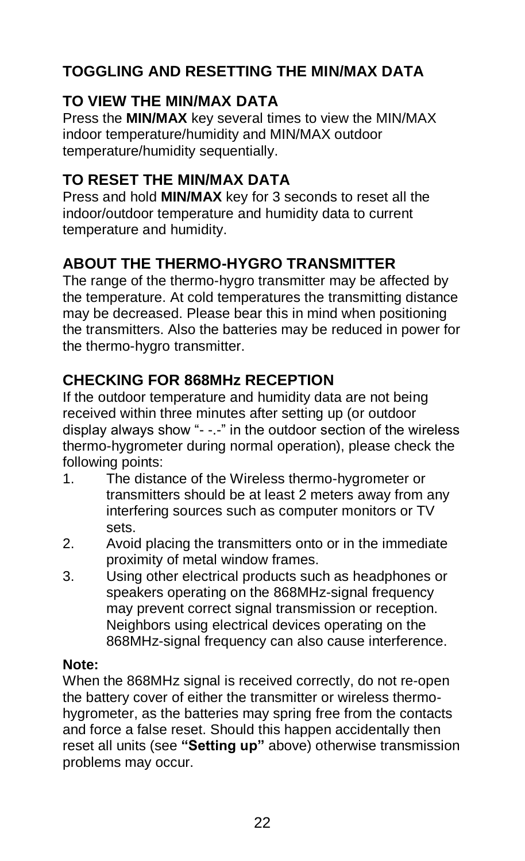# **TOGGLING AND RESETTING THE MIN/MAX DATA**

# **TO VIEW THE MIN/MAX DATA**

Press the **MIN/MAX** key several times to view the MIN/MAX indoor temperature/humidity and MIN/MAX outdoor temperature/humidity sequentially.

# **TO RESET THE MIN/MAX DATA**

Press and hold **MIN/MAX** key for 3 seconds to reset all the indoor/outdoor temperature and humidity data to current temperature and humidity.

# **ABOUT THE THERMO-HYGRO TRANSMITTER**

The range of the thermo-hygro transmitter may be affected by the temperature. At cold temperatures the transmitting distance may be decreased. Please bear this in mind when positioning the transmitters. Also the batteries may be reduced in power for the thermo-hygro transmitter.

# **CHECKING FOR 868MHz RECEPTION**

If the outdoor temperature and humidity data are not being received within three minutes after setting up (or outdoor display always show "- -.-" in the outdoor section of the wireless thermo-hygrometer during normal operation), please check the following points:<br>1 The dista

- The distance of the Wireless thermo-hygrometer or transmitters should be at least 2 meters away from any interfering sources such as computer monitors or TV sets.
- 2. Avoid placing the transmitters onto or in the immediate proximity of metal window frames.
- 3. Using other electrical products such as headphones or speakers operating on the 868MHz-signal frequency may prevent correct signal transmission or reception. Neighbors using electrical devices operating on the 868MHz-signal frequency can also cause interference.

#### **Note:**

When the 868MHz signal is received correctly, do not re-open the battery cover of either the transmitter or wireless thermohygrometer, as the batteries may spring free from the contacts and force a false reset. Should this happen accidentally then reset all units (see **"Setting up"** above) otherwise transmission problems may occur.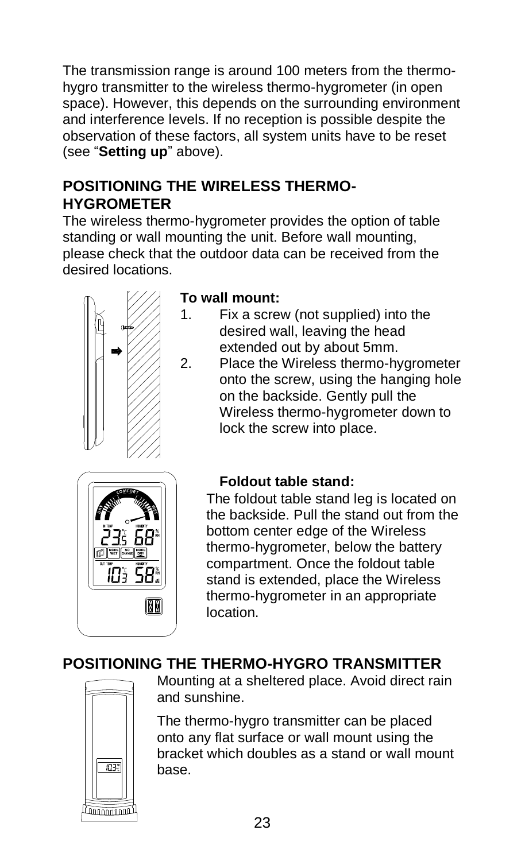The transmission range is around 100 meters from the thermohygro transmitter to the wireless thermo-hygrometer (in open space). However, this depends on the surrounding environment and interference levels. If no reception is possible despite the observation of these factors, all system units have to be reset (see "**Setting up**" above).

# **POSITIONING THE WIRELESS THERMO-HYGROMETER**

The wireless thermo-hygrometer provides the option of table standing or wall mounting the unit. Before wall mounting, please check that the outdoor data can be received from the desired locations.



#### **To wall mount:**

- 1. Fix a screw (not supplied) into the desired wall, leaving the head extended out by about 5mm.
- 2. Place the Wireless thermo-hygrometer onto the screw, using the hanging hole on the backside. Gently pull the Wireless thermo-hygrometer down to lock the screw into place.



# **Foldout table stand:**

The foldout table stand leg is located on the backside. Pull the stand out from the bottom center edge of the Wireless thermo-hygrometer, below the battery compartment. Once the foldout table stand is extended, place the Wireless thermo-hygrometer in an appropriate location.

# **POSITIONING THE THERMO-HYGRO TRANSMITTER**



Mounting at a sheltered place. Avoid direct rain and sunshine.

The thermo-hygro transmitter can be placed onto any flat surface or wall mount using the bracket which doubles as a stand or wall mount base.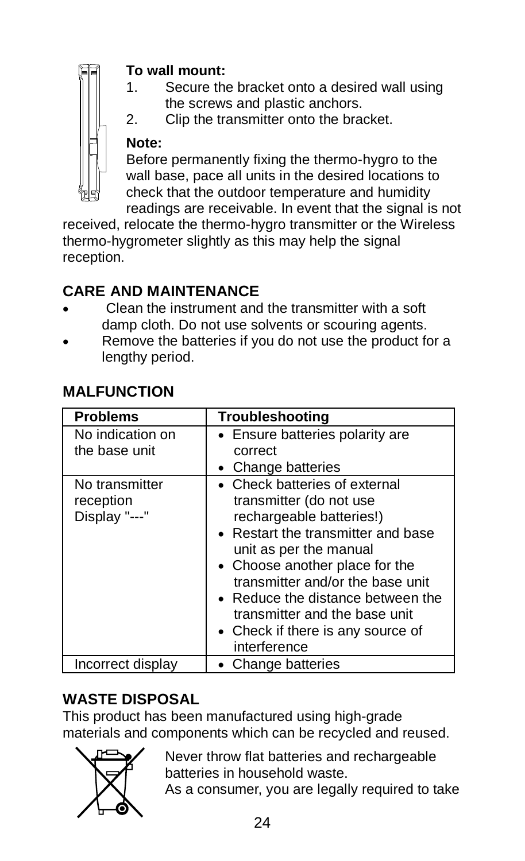#### **To wall mount:**

- 1. Secure the bracket onto a desired wall using the screws and plastic anchors.
- 2. Clip the transmitter onto the bracket.

# **Note:**

Before permanently fixing the thermo-hygro to the wall base, pace all units in the desired locations to check that the outdoor temperature and humidity readings are receivable. In event that the signal is not

received, relocate the thermo-hygro transmitter or the Wireless thermo-hygrometer slightly as this may help the signal reception.

# **CARE AND MAINTENANCE**

- Clean the instrument and the transmitter with a soft damp cloth. Do not use solvents or scouring agents.
- Remove the batteries if you do not use the product for a lengthy period.

| <b>Problems</b>                              | Troubleshooting                                                                                                                                                                                                                                                                                                                                       |  |  |
|----------------------------------------------|-------------------------------------------------------------------------------------------------------------------------------------------------------------------------------------------------------------------------------------------------------------------------------------------------------------------------------------------------------|--|--|
| No indication on<br>the base unit            | • Ensure batteries polarity are<br>correct<br>• Change batteries                                                                                                                                                                                                                                                                                      |  |  |
| No transmitter<br>reception<br>Display "---" | • Check batteries of external<br>transmitter (do not use<br>rechargeable batteries!)<br>• Restart the transmitter and base<br>unit as per the manual<br>• Choose another place for the<br>transmitter and/or the base unit<br>• Reduce the distance between the<br>transmitter and the base unit<br>• Check if there is any source of<br>interference |  |  |
| Incorrect display                            | • Change batteries                                                                                                                                                                                                                                                                                                                                    |  |  |

# **MALFUNCTION**

# **WASTE DISPOSAL**

This product has been manufactured using high-grade materials and components which can be recycled and reused.



Never throw flat batteries and rechargeable batteries in household waste.

As a consumer, you are legally required to take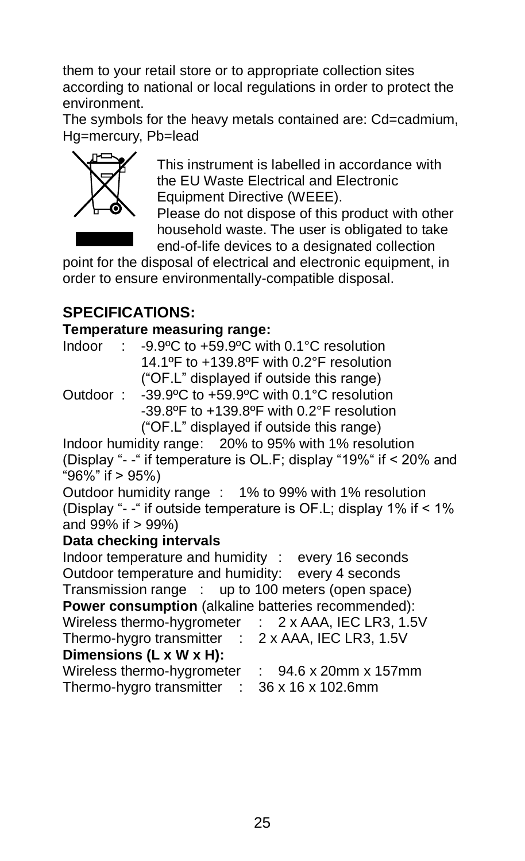them to your retail store or to appropriate collection sites according to national or local regulations in order to protect the environment.

The symbols for the heavy metals contained are: Cd=cadmium, Hg=mercury, Pb=lead



This instrument is labelled in accordance with the EU Waste Electrical and Electronic Equipment Directive (WEEE).

Please do not dispose of this product with other household waste. The user is obligated to take end-of-life devices to a designated collection

point for the disposal of electrical and electronic equipment, in order to ensure environmentally-compatible disposal.

# **SPECIFICATIONS:**

#### **Temperature measuring range:**

Indoor : -9.9ºC to +59.9ºC with 0.1°C resolution 14.1ºF to +139.8ºF with 0.2°F resolution ("OF.L" displayed if outside this range)

Outdoor : -39.9ºC to +59.9ºC with 0.1°C resolution -39.8ºF to +139.8ºF with 0.2°F resolution ("OF.L" displayed if outside this range)

Indoor humidity range: 20% to 95% with 1% resolution (Display "- -" if temperature is OL.F; display "19%" if < 20% and "96%" if > 95%)

Outdoor humidity range : 1% to 99% with 1% resolution (Display "- -" if outside temperature is OF.L; display 1% if < 1% and 99% if > 99%)

#### **Data checking intervals**

Indoor temperature and humidity : every 16 seconds Outdoor temperature and humidity: every 4 seconds Transmission range : up to 100 meters (open space) **Power consumption** (alkaline batteries recommended): Wireless thermo-hygrometer : 2 x AAA, IEC LR3, 1.5V Thermo-hygro transmitter : 2 x AAA, IEC LR3, 1.5V **Dimensions (L x W x H):** Wireless thermo-hygrometer : 94.6 x 20mm x 157mm Thermo-hygro transmitter : 36 x 16 x 102.6mm